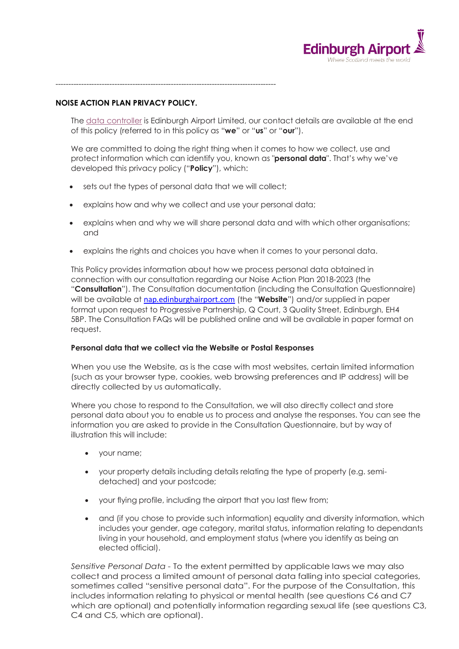

**NOISE ACTION PLAN PRIVACY POLICY.** 

--------------------------------------------------------------------------------------

The data controller is Edinburgh Airport Limited, our contact details are available at the end of this policy (referred to in this policy as "**we**" or "**us**" or "**our**").

We are committed to doing the right thing when it comes to how we collect, use and protect information which can identify you, known as "**personal data**". That's why we've developed this privacy policy ("**Policy**"), which:

- sets out the types of personal data that we will collect;
- explains how and why we collect and use your personal data;
- explains when and why we will share personal data and with which other organisations; and
- explains the rights and choices you have when it comes to your personal data.

This Policy provides information about how we process personal data obtained in connection with our consultation regarding our Noise Action Plan 2018-2023 (the "**Consultation**"). The Consultation documentation (including the Consultation Questionnaire) will be available at nap.edinburghairport.com (the "**Website**") and/or supplied in paper format upon request to Progressive Partnership, Q Court, 3 Quality Street, Edinburgh, EH4 5BP. The Consultation FAQs will be published online and will be available in paper format on request.

## **Personal data that we collect via the Website or Postal Responses**

When you use the Website, as is the case with most websites, certain limited information (such as your browser type, cookies, web browsing preferences and IP address) will be directly collected by us automatically.

Where you chose to respond to the Consultation, we will also directly collect and store personal data about you to enable us to process and analyse the responses. You can see the information you are asked to provide in the Consultation Questionnaire, but by way of illustration this will include:

- your name;
- your property details including details relating the type of property (e.g. semidetached) and your postcode;
- your flying profile, including the airport that you last flew from;
- and (if you chose to provide such information) equality and diversity information, which includes your gender, age category, marital status, information relating to dependants living in your household, and employment status (where you identify as being an elected official).

*Sensitive Personal Data -* To the extent permitted by applicable laws we may also collect and process a limited amount of personal data falling into special categories, sometimes called "sensitive personal data". For the purpose of the Consultation, this includes information relating to physical or mental health (see questions C6 and C7 which are optional) and potentially information regarding sexual life (see questions C3, C4 and C5, which are optional).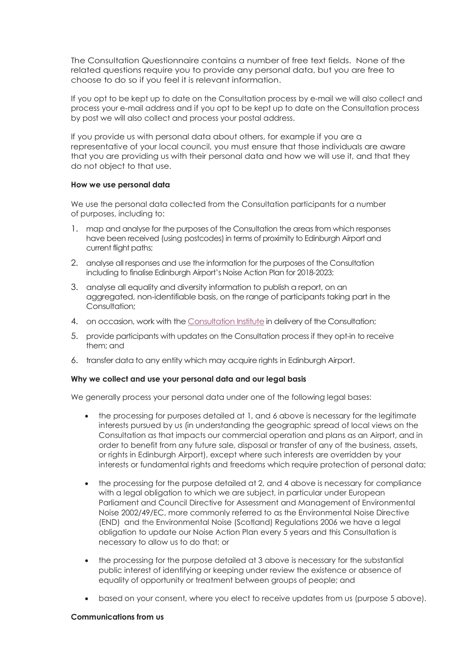The Consultation Questionnaire contains a number of free text fields. None of the related questions require you to provide any personal data, but you are free to choose to do so if you feel it is relevant information.

If you opt to be kept up to date on the Consultation process by e-mail we will also collect and process your e-mail address and if you opt to be kept up to date on the Consultation process by post we will also collect and process your postal address.

If you provide us with personal data about others, for example if you are a representative of your local council, you must ensure that those individuals are aware that you are providing us with their personal data and how we will use it, and that they do not object to that use.

### **How we use personal data**

We use the personal data collected from the Consultation participants for a number of purposes, including to:

- 1. map and analyse for the purposes of the Consultation the areas from which responses have been received (using postcodes) in terms of proximity to Edinburgh Airport and current flight paths;
- 2. analyse all responses and use the information for the purposes of the Consultation including to finalise Edinburgh Airport's Noise Action Plan for 2018-2023;
- 3. analyse all equality and diversity information to publish a report, on an aggregated, non-identifiable basis, on the range of participants taking part in the Consultation;
- 4. on occasion, work with the Consultation Institute in delivery of the Consultation;
- 5. provide participants with updates on the Consultation process if they opt-in to receive them; and
- 6. transfer data to any entity which may acquire rights in Edinburgh Airport.

## **Why we collect and use your personal data and our legal basis**

We generally process your personal data under one of the following legal bases:

- the processing for purposes detailed at 1, and 6 above is necessary for the legitimate interests pursued by us (in understanding the geographic spread of local views on the Consultation as that impacts our commercial operation and plans as an Airport, and in order to benefit from any future sale, disposal or transfer of any of the business, assets, or rights in Edinburgh Airport), except where such interests are overridden by your interests or fundamental rights and freedoms which require protection of personal data;
- the processing for the purpose detailed at 2, and 4 above is necessary for compliance with a legal obligation to which we are subject, in particular under European Parliament and Council Directive for Assessment and Management of Environmental Noise 2002/49/EC, more commonly referred to as the Environmental Noise Directive (END) and the Environmental Noise (Scotland) Regulations 2006 we have a legal obligation to update our Noise Action Plan every 5 years and this Consultation is necessary to allow us to do that; or
- the processing for the purpose detailed at 3 above is necessary for the substantial public interest of identifying or keeping under review the existence or absence of equality of opportunity or treatment between groups of people; and
- based on your consent, where you elect to receive updates from us (purpose 5 above).

### **Communications from us**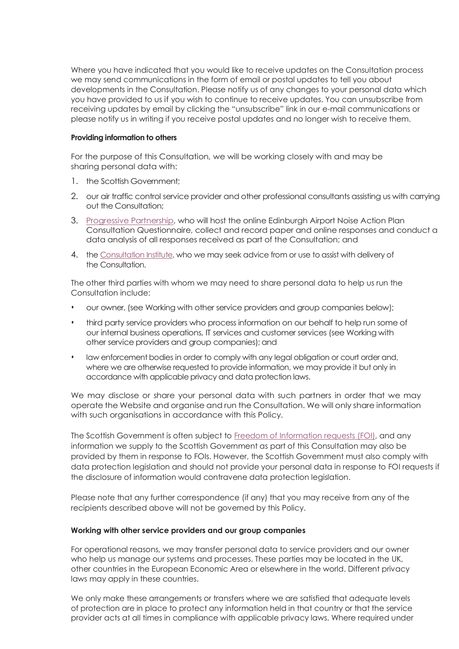Where you have indicated that you would like to receive updates on the Consultation process we may send communications in the form of email or postal updates to tell you about developments in the Consultation. Please notify us of any changes to your personal data which you have provided to us if you wish to continue to receive updates. You can unsubscribe from receiving updates by email by clicking the "unsubscribe" link in our e-mail communications or please notify us in writing if you receive postal updates and no longer wish to receive them.

### **Providing information to others**

For the purpose of this Consultation, we will be working closely with and may be sharing personal data with:

- 1. the Scottish Government;
- 2. our air traffic control service provider and other professional consultants assisting us with carrying out the Consultation;
- 3. Progressive Partnership, who will host the online Edinburgh Airport Noise Action Plan Consultation Questionnaire, collect and record paper and online responses and conduct a data analysis of all responses received as part of the Consultation; and
- 4. the Consultation Institute, who we may seek advice from or use to assist with delivery of the Consultation.

The other third parties with whom we may need to share personal data to help us run the Consultation include:

- our owner, (see Working with other service providers and group companies below);
- third party service providers who process information on our behalf to help run some of our internal business operations, IT services and customer services (see Working with other service providers and group companies); and
- law enforcement bodies in order to comply with any legal obligation or court order and, where we are otherwise requested to provide information, we may provide it but only in accordance with applicable privacy and data protection laws.

We may disclose or share your personal data with such partners in order that we may operate the Website and organise and run the Consultation. We will only share information with such organisations in accordance with this Policy.

The Scottish Government is often subject to Freedom of Information requests (FOI), and any information we supply to the Scottish Government as part of this Consultation may also be provided by them in response to FOIs. However, the Scottish Government must also comply with data protection legislation and should not provide your personal data in response to FOI requests if the disclosure of information would contravene data protection legislation.

Please note that any further correspondence (if any) that you may receive from any of the recipients described above will not be governed by this Policy.

## **Working with other service providers and our group companies**

For operational reasons, we may transfer personal data to service providers and our owner who help us manage our systems and processes. These parties may be located in the UK, other countries in the European Economic Area or elsewhere in the world. Different privacy laws may apply in these countries.

We only make these arrangements or transfers where we are satisfied that adequate levels of protection are in place to protect any information held in that country or that the service provider acts at all times in compliance with applicable privacy laws. Where required under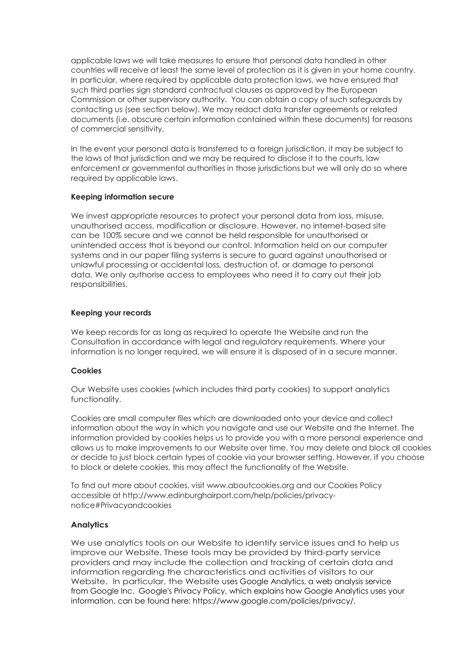applicable laws we will take measures to ensure that personal data handled in other countries will receive at least the same level of protection as it is given in your home country. In particular, where required by applicable data protection laws, we have ensured that such third parties sign standard contractual clauses as approved by the European Commission or other supervisory authority. You can obtain a copy of such safeguards by contacting us (see section below). We may redact data transfer agreements or related documents (i.e. obscure certain information contained within these documents) for reasons of commercial sensitivity.

In the event your personal data is transferred to a foreign jurisdiction, it may be subject to the laws of that jurisdiction and we may be required to disclose it to the courts, law enforcement or governmental authorities in those jurisdictions but we will only do so where required by applicable laws.

## **Keeping information secure**

We invest appropriate resources to protect your personal data from loss, misuse, unauthorised access, modification or disclosure. However, no internet-based site can be 100% secure and we cannot be held responsible for unauthorised or unintended access that is beyond our control. Information held on our computer systems and in our paper filing systems is secure to guard against unauthorised or unlawful processing or accidental loss, destruction of, or damage to personal data. We only authorise access to employees who need it to carry out their job responsibilities.

## **Keeping your records**

We keep records for as long as required to operate the Website and run the Consultation in accordance with legal and regulatory requirements. Where your information is no longer required, we will ensure it is disposed of in a secure manner.

# **Cookies**

Our Website uses cookies (which includes third party cookies) to support analytics functionality.

Cookies are small computer files which are downloaded onto your device and collect information about the way in which you navigate and use our Website and the Internet. The information provided by cookies helps us to provide you with a more personal experience and allows us to make improvements to our Website over time. You may delete and block all cookies or decide to just block certain types of cookie via your browser setting. However, if you choose to block or delete cookies, this may affect the functionality of the Website.

To find out more about cookies, visit www.aboutcookies.org and our Cookies Policy accessible at http://www.edinburghairport.com/help/policies/privacynotice#Privacyandcookies

# **Analytics**

We use analytics tools on our Website to identify service issues and to help us improve our Website. These tools may be provided by third-party service providers and may include the collection and tracking of certain data and information regarding the characteristics and activities of visitors to our Website. In particular, the Website uses Google Analytics, a web analysis service from Google Inc. Google's Privacy Policy, which explains how Google Analytics uses your information, can be found here: https://www.google.com/policies/privacy/.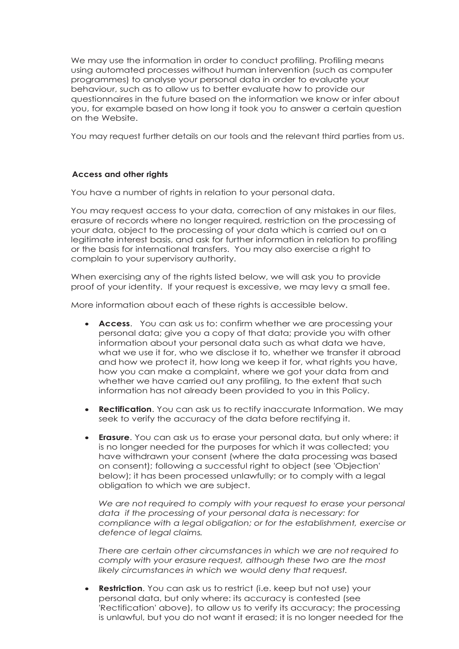We may use the information in order to conduct profiling. Profiling means using automated processes without human intervention (such as computer programmes) to analyse your personal data in order to evaluate your behaviour, such as to allow us to better evaluate how to provide our questionnaires in the future based on the information we know or infer about you, for example based on how long it took you to answer a certain question on the Website.

You may request further details on our tools and the relevant third parties from us.

## **Access and other rights**

You have a number of rights in relation to your personal data.

You may request access to your data, correction of any mistakes in our files, erasure of records where no longer required, restriction on the processing of your data, object to the processing of your data which is carried out on a legitimate interest basis, and ask for further information in relation to profiling or the basis for international transfers. You may also exercise a right to complain to your supervisory authority.

When exercising any of the rights listed below, we will ask you to provide proof of your identity. If your request is excessive, we may levy a small fee.

More information about each of these rights is accessible below.

- **Access**. You can ask us to: confirm whether we are processing your personal data; give you a copy of that data; provide you with other information about your personal data such as what data we have, what we use it for, who we disclose it to, whether we transfer it abroad and how we protect it, how long we keep it for, what rights you have, how you can make a complaint, where we got your data from and whether we have carried out any profiling, to the extent that such information has not already been provided to you in this Policy.
- **Rectification**. You can ask us to rectify inaccurate Information. We may seek to verify the accuracy of the data before rectifying it.
- **Erasure**. You can ask us to erase your personal data, but only where: it is no longer needed for the purposes for which it was collected; you have withdrawn your consent (where the data processing was based on consent); following a successful right to object (see 'Objection' below); it has been processed unlawfully; or to comply with a legal obligation to which we are subject.

*We are not required to comply with your request to erase your personal data if the processing of your personal data is necessary: for compliance with a legal obligation; or for the establishment, exercise or defence of legal claims.*

*There are certain other circumstances in which we are not required to comply with your erasure request, although these two are the most likely circumstances in which we would deny that request.*

• **Restriction**. You can ask us to restrict (i.e. keep but not use) your personal data, but only where: its accuracy is contested (see 'Rectification' above), to allow us to verify its accuracy; the processing is unlawful, but you do not want it erased; it is no longer needed for the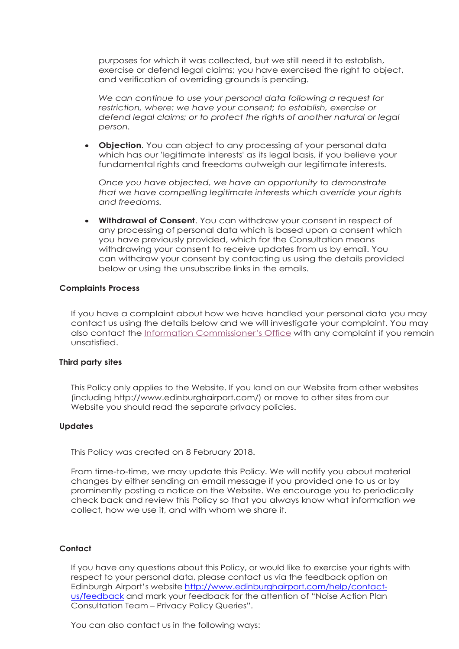purposes for which it was collected, but we still need it to establish, exercise or defend legal claims; you have exercised the right to object, and verification of overriding grounds is pending.

*We can continue to use your personal data following a request for restriction, where: we have your consent; to establish, exercise or defend legal claims; or to protect the rights of another natural or legal person.* 

• **Objection**. You can object to any processing of your personal data which has our 'legitimate interests' as its legal basis, if you believe your fundamental rights and freedoms outweigh our legitimate interests.

*Once you have objected, we have an opportunity to demonstrate that we have compelling legitimate interests which override your rights and freedoms.* 

• **Withdrawal of Consent**. You can withdraw your consent in respect of any processing of personal data which is based upon a consent which you have previously provided, which for the Consultation means withdrawing your consent to receive updates from us by email. You can withdraw your consent by contacting us using the details provided below or using the unsubscribe links in the emails.

## **Complaints Process**

If you have a complaint about how we have handled your personal data you may contact us using the details below and we will investigate your complaint. You may also contact the Information Commissioner's Office with any complaint if you remain unsatisfied.

#### **Third party sites**

This Policy only applies to the Website. If you land on our Website from other websites (including http://www.edinburghairport.com/) or move to other sites from our Website you should read the separate privacy policies.

#### **Updates**

This Policy was created on 8 February 2018.

From time-to-time, we may update this Policy. We will notify you about material changes by either sending an email message if you provided one to us or by prominently posting a notice on the Website. We encourage you to periodically check back and review this Policy so that you always know what information we collect, how we use it, and with whom we share it.

## **Contact**

If you have any questions about this Policy, or would like to exercise your rights with respect to your personal data, please contact us via the feedback option on Edinburgh Airport's website http://www.edinburghairport.com/help/contactus/feedback and mark your feedback for the attention of "Noise Action Plan Consultation Team – Privacy Policy Queries".

You can also contact us in the following ways: